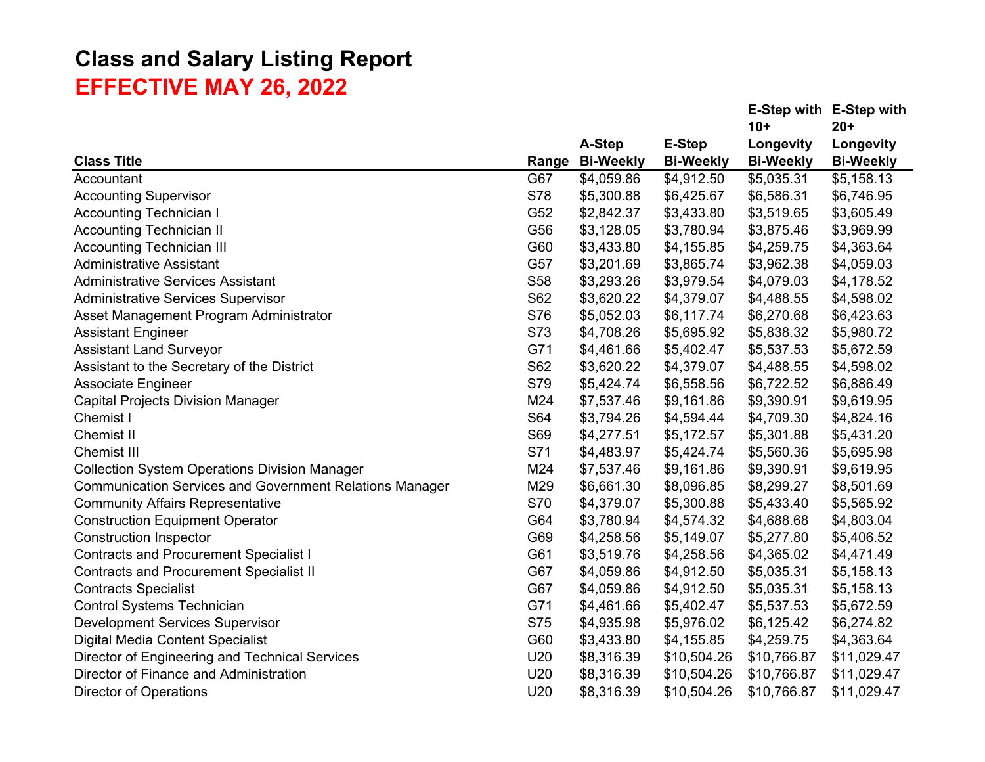|                                                                |            |                  |                  |                  | E-Step with E-Step with |
|----------------------------------------------------------------|------------|------------------|------------------|------------------|-------------------------|
|                                                                |            |                  |                  | $10+$            | $20+$                   |
|                                                                |            | A-Step           | <b>E-Step</b>    | Longevity        | Longevity               |
| <b>Class Title</b>                                             | Range      | <b>Bi-Weekly</b> | <b>Bi-Weekly</b> | <b>Bi-Weekly</b> | <b>Bi-Weekly</b>        |
| Accountant                                                     | G67        | \$4,059.86       | \$4,912.50       | \$5,035.31       | \$5,158.13              |
| <b>Accounting Supervisor</b>                                   | S78        | \$5,300.88       | \$6,425.67       | \$6,586.31       | \$6,746.95              |
| <b>Accounting Technician I</b>                                 | G52        | \$2,842.37       | \$3,433.80       | \$3,519.65       | \$3,605.49              |
| <b>Accounting Technician II</b>                                | G56        | \$3,128.05       | \$3,780.94       | \$3,875.46       | \$3,969.99              |
| <b>Accounting Technician III</b>                               | G60        | \$3,433.80       | \$4,155.85       | \$4,259.75       | \$4,363.64              |
| <b>Administrative Assistant</b>                                | G57        | \$3,201.69       | \$3,865.74       | \$3,962.38       | \$4,059.03              |
| <b>Administrative Services Assistant</b>                       | S58        | \$3,293.26       | \$3,979.54       | \$4,079.03       | \$4,178.52              |
| <b>Administrative Services Supervisor</b>                      | S62        | \$3,620.22       | \$4,379.07       | \$4,488.55       | \$4,598.02              |
| Asset Management Program Administrator                         | S76        | \$5,052.03       | \$6,117.74       | \$6,270.68       | \$6,423.63              |
| <b>Assistant Engineer</b>                                      | S73        | \$4,708.26       | \$5,695.92       | \$5,838.32       | \$5,980.72              |
| <b>Assistant Land Surveyor</b>                                 | G71        | \$4,461.66       | \$5,402.47       | \$5,537.53       | \$5,672.59              |
| Assistant to the Secretary of the District                     | S62        | \$3,620.22       | \$4,379.07       | \$4,488.55       | \$4,598.02              |
| <b>Associate Engineer</b>                                      | S79        | \$5,424.74       | \$6,558.56       | \$6,722.52       | \$6,886.49              |
| <b>Capital Projects Division Manager</b>                       | M24        | \$7,537.46       | \$9,161.86       | \$9,390.91       | \$9,619.95              |
| Chemist I                                                      | S64        | \$3,794.26       | \$4,594.44       | \$4,709.30       | \$4,824.16              |
| Chemist II                                                     | S69        | \$4,277.51       | \$5,172.57       | \$5,301.88       | \$5,431.20              |
| <b>Chemist III</b>                                             | S71        | \$4,483.97       | \$5,424.74       | \$5,560.36       | \$5,695.98              |
| <b>Collection System Operations Division Manager</b>           | M24        | \$7,537.46       | \$9,161.86       | \$9,390.91       | \$9,619.95              |
| <b>Communication Services and Government Relations Manager</b> | M29        | \$6,661.30       | \$8,096.85       | \$8,299.27       | \$8,501.69              |
| <b>Community Affairs Representative</b>                        | S70        | \$4,379.07       | \$5,300.88       | \$5,433.40       | \$5,565.92              |
| <b>Construction Equipment Operator</b>                         | G64        | \$3,780.94       | \$4,574.32       | \$4,688.68       | \$4,803.04              |
| <b>Construction Inspector</b>                                  | G69        | \$4,258.56       | \$5,149.07       | \$5,277.80       | \$5,406.52              |
| <b>Contracts and Procurement Specialist I</b>                  | G61        | \$3,519.76       | \$4,258.56       | \$4,365.02       | \$4,471.49              |
| <b>Contracts and Procurement Specialist II</b>                 | G67        | \$4,059.86       | \$4,912.50       | \$5,035.31       | \$5,158.13              |
| <b>Contracts Specialist</b>                                    | G67        | \$4,059.86       | \$4,912.50       | \$5,035.31       | \$5,158.13              |
| <b>Control Systems Technician</b>                              | G71        | \$4,461.66       | \$5,402.47       | \$5,537.53       | \$5,672.59              |
| <b>Development Services Supervisor</b>                         | <b>S75</b> | \$4,935.98       | \$5,976.02       | \$6,125.42       | \$6,274.82              |
| Digital Media Content Specialist                               | G60        | \$3,433.80       | \$4,155.85       | \$4,259.75       | \$4,363.64              |
| Director of Engineering and Technical Services                 | U20        | \$8,316.39       | \$10,504.26      | \$10,766.87      | \$11,029.47             |
| Director of Finance and Administration                         | U20        | \$8,316.39       | \$10,504.26      | \$10,766.87      | \$11,029.47             |
| <b>Director of Operations</b>                                  | U20        | \$8,316.39       | \$10,504.26      | \$10,766.87      | \$11,029.47             |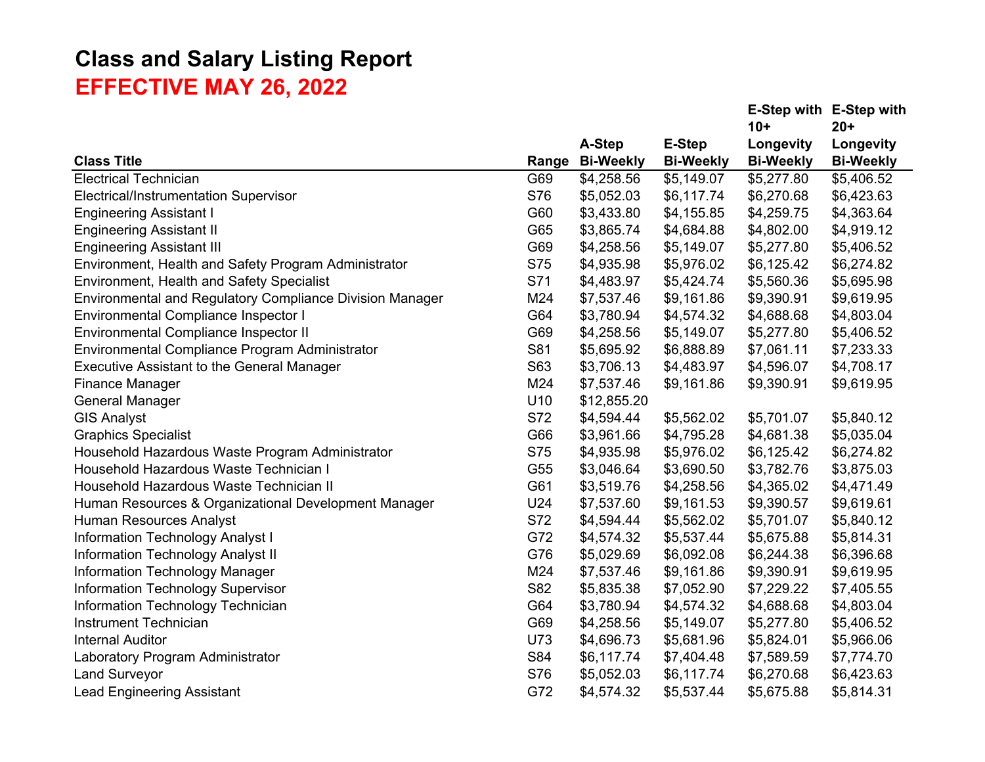|            |                  |                     |                  | E-Step with E-Step with |
|------------|------------------|---------------------|------------------|-------------------------|
|            |                  |                     | $10+$            | $20+$                   |
|            | A-Step           | <b>E-Step</b>       | Longevity        | Longevity               |
|            | <b>Bi-Weekly</b> | <b>Bi-Weekly</b>    | <b>Bi-Weekly</b> | <b>Bi-Weekly</b>        |
| G69        | \$4,258.56       | \$5,149.07          | \$5,277.80       | \$5,406.52              |
| S76        | \$5,052.03       | \$6,117.74          | \$6,270.68       | \$6,423.63              |
| G60        | \$3,433.80       | \$4,155.85          | \$4,259.75       | \$4,363.64              |
| G65        | \$3,865.74       | \$4,684.88          | \$4,802.00       | \$4,919.12              |
| G69        | \$4,258.56       | \$5,149.07          | \$5,277.80       | \$5,406.52              |
|            | \$4,935.98       | \$5,976.02          | \$6,125.42       | \$6,274.82              |
| S71        | \$4,483.97       | \$5,424.74          | \$5,560.36       | \$5,695.98              |
| M24        | \$7,537.46       | \$9,161.86          | \$9,390.91       | \$9,619.95              |
| G64        | \$3,780.94       | \$4,574.32          | \$4,688.68       | \$4,803.04              |
| G69        | \$4,258.56       | \$5,149.07          | \$5,277.80       | \$5,406.52              |
| S81        | \$5,695.92       | \$6,888.89          | \$7,061.11       | \$7,233.33              |
| S63        | \$3,706.13       | \$4,483.97          | \$4,596.07       | \$4,708.17              |
| M24        | \$7,537.46       | \$9,161.86          | \$9,390.91       | \$9,619.95              |
| U10        | \$12,855.20      |                     |                  |                         |
| S72        | \$4,594.44       | \$5,562.02          | \$5,701.07       | \$5,840.12              |
| G66        | \$3,961.66       | \$4,795.28          | \$4,681.38       | \$5,035.04              |
| <b>S75</b> | \$4,935.98       | \$5,976.02          | \$6,125.42       | \$6,274.82              |
| G55        | \$3,046.64       | \$3,690.50          | \$3,782.76       | \$3,875.03              |
| G61        | \$3,519.76       | \$4,258.56          | \$4,365.02       | \$4,471.49              |
| U24        |                  | \$9,161.53          | \$9,390.57       | \$9,619.61              |
| S72        | \$4,594.44       | \$5,562.02          | \$5,701.07       | \$5,840.12              |
| G72        | \$4,574.32       | \$5,537.44          | \$5,675.88       | \$5,814.31              |
| G76        | \$5,029.69       | \$6,092.08          | \$6,244.38       | \$6,396.68              |
| M24        | \$7,537.46       | \$9,161.86          | \$9,390.91       | \$9,619.95              |
| S82        | \$5,835.38       | \$7,052.90          | \$7,229.22       | \$7,405.55              |
| G64        | \$3,780.94       | \$4,574.32          | \$4,688.68       | \$4,803.04              |
| G69        | \$4,258.56       | \$5,149.07          | \$5,277.80       | \$5,406.52              |
| U73        | \$4,696.73       | \$5,681.96          | \$5,824.01       | \$5,966.06              |
| S84        | \$6,117.74       | \$7,404.48          | \$7,589.59       | \$7,774.70              |
| S76        | \$5,052.03       | \$6,117.74          | \$6,270.68       | \$6,423.63              |
| G72        | \$4,574.32       | \$5,537.44          | \$5,675.88       | \$5,814.31              |
|            | <b>S75</b>       | Range<br>\$7,537.60 |                  |                         |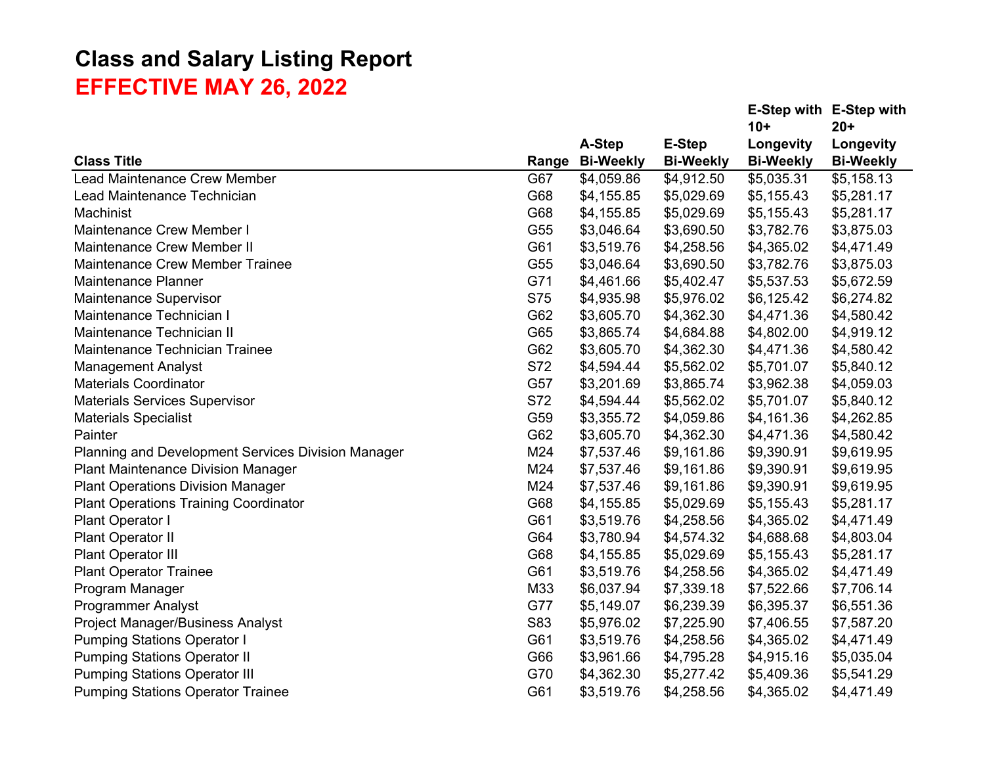|                                                    |            |                  |                  |                  | E-Step with E-Step with |
|----------------------------------------------------|------------|------------------|------------------|------------------|-------------------------|
|                                                    |            |                  |                  | $10+$            | $20 +$                  |
|                                                    |            | A-Step           | <b>E-Step</b>    | Longevity        | Longevity               |
| <b>Class Title</b>                                 | Range      | <b>Bi-Weekly</b> | <b>Bi-Weekly</b> | <b>Bi-Weekly</b> | <b>Bi-Weekly</b>        |
| Lead Maintenance Crew Member                       | G67        | \$4,059.86       | \$4,912.50       | \$5,035.31       | \$5,158.13              |
| Lead Maintenance Technician                        | G68        | \$4,155.85       | \$5,029.69       | \$5,155.43       | \$5,281.17              |
| Machinist                                          | G68        | \$4,155.85       | \$5,029.69       | \$5,155.43       | \$5,281.17              |
| Maintenance Crew Member I                          | G55        | \$3,046.64       | \$3,690.50       | \$3,782.76       | \$3,875.03              |
| <b>Maintenance Crew Member II</b>                  | G61        | \$3,519.76       | \$4,258.56       | \$4,365.02       | \$4,471.49              |
| <b>Maintenance Crew Member Trainee</b>             | G55        | \$3,046.64       | \$3,690.50       | \$3,782.76       | \$3,875.03              |
| Maintenance Planner                                | G71        | \$4,461.66       | \$5,402.47       | \$5,537.53       | \$5,672.59              |
| <b>Maintenance Supervisor</b>                      | <b>S75</b> | \$4,935.98       | \$5,976.02       | \$6,125.42       | \$6,274.82              |
| Maintenance Technician I                           | G62        | \$3,605.70       | \$4,362.30       | \$4,471.36       | \$4,580.42              |
| Maintenance Technician II                          | G65        | \$3,865.74       | \$4,684.88       | \$4,802.00       | \$4,919.12              |
| Maintenance Technician Trainee                     | G62        | \$3,605.70       | \$4,362.30       | \$4,471.36       | \$4,580.42              |
| <b>Management Analyst</b>                          | S72        | \$4,594.44       | \$5,562.02       | \$5,701.07       | \$5,840.12              |
| <b>Materials Coordinator</b>                       | G57        | \$3,201.69       | \$3,865.74       | \$3,962.38       | \$4,059.03              |
| <b>Materials Services Supervisor</b>               | S72        | \$4,594.44       | \$5,562.02       | \$5,701.07       | \$5,840.12              |
| <b>Materials Specialist</b>                        | G59        | \$3,355.72       | \$4,059.86       | \$4,161.36       | \$4,262.85              |
| Painter                                            | G62        | \$3,605.70       | \$4,362.30       | \$4,471.36       | \$4,580.42              |
| Planning and Development Services Division Manager | M24        | \$7,537.46       | \$9,161.86       | \$9,390.91       | \$9,619.95              |
| <b>Plant Maintenance Division Manager</b>          | M24        | \$7,537.46       | \$9,161.86       | \$9,390.91       | \$9,619.95              |
| <b>Plant Operations Division Manager</b>           | M24        | \$7,537.46       | \$9,161.86       | \$9,390.91       | \$9,619.95              |
| <b>Plant Operations Training Coordinator</b>       | G68        | \$4,155.85       | \$5,029.69       | \$5,155.43       | \$5,281.17              |
| Plant Operator I                                   | G61        | \$3,519.76       | \$4,258.56       | \$4,365.02       | \$4,471.49              |
| Plant Operator II                                  | G64        | \$3,780.94       | \$4,574.32       | \$4,688.68       | \$4,803.04              |
| Plant Operator III                                 | G68        | \$4,155.85       | \$5,029.69       | \$5,155.43       | \$5,281.17              |
| <b>Plant Operator Trainee</b>                      | G61        | \$3,519.76       | \$4,258.56       | \$4,365.02       | \$4,471.49              |
| Program Manager                                    | M33        | \$6,037.94       | \$7,339.18       | \$7,522.66       | \$7,706.14              |
| <b>Programmer Analyst</b>                          | G77        | \$5,149.07       | \$6,239.39       | \$6,395.37       | \$6,551.36              |
| <b>Project Manager/Business Analyst</b>            | S83        | \$5,976.02       | \$7,225.90       | \$7,406.55       | \$7,587.20              |
| <b>Pumping Stations Operator I</b>                 | G61        | \$3,519.76       | \$4,258.56       | \$4,365.02       | \$4,471.49              |
| <b>Pumping Stations Operator II</b>                | G66        | \$3,961.66       | \$4,795.28       | \$4,915.16       | \$5,035.04              |
| <b>Pumping Stations Operator III</b>               | G70        | \$4,362.30       | \$5,277.42       | \$5,409.36       | \$5,541.29              |
| <b>Pumping Stations Operator Trainee</b>           | G61        | \$3,519.76       | \$4,258.56       | \$4,365.02       | \$4,471.49              |